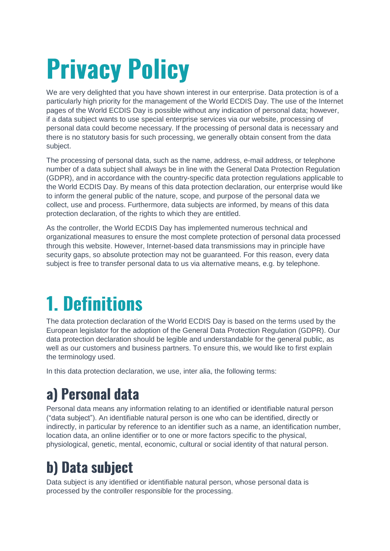# **Privacy Policy**

We are very delighted that you have shown interest in our enterprise. Data protection is of a particularly high priority for the management of the World ECDIS Day. The use of the Internet pages of the World ECDIS Day is possible without any indication of personal data; however, if a data subject wants to use special enterprise services via our website, processing of personal data could become necessary. If the processing of personal data is necessary and there is no statutory basis for such processing, we generally obtain consent from the data subject.

The processing of personal data, such as the name, address, e-mail address, or telephone number of a data subject shall always be in line with the General Data Protection Regulation (GDPR), and in accordance with the country-specific data protection regulations applicable to the World ECDIS Day. By means of this data protection declaration, our enterprise would like to inform the general public of the nature, scope, and purpose of the personal data we collect, use and process. Furthermore, data subjects are informed, by means of this data protection declaration, of the rights to which they are entitled.

As the controller, the World ECDIS Day has implemented numerous technical and organizational measures to ensure the most complete protection of personal data processed through this website. However, Internet-based data transmissions may in principle have security gaps, so absolute protection may not be guaranteed. For this reason, every data subject is free to transfer personal data to us via alternative means, e.g. by telephone.

## **1. Definitions**

The data protection declaration of the World ECDIS Day is based on the terms used by the European legislator for the adoption of the General Data Protection Regulation (GDPR). Our data protection declaration should be legible and understandable for the general public, as well as our customers and business partners. To ensure this, we would like to first explain the terminology used.

In this data protection declaration, we use, inter alia, the following terms:

### a) Personal data

Personal data means any information relating to an identified or identifiable natural person ("data subject"). An identifiable natural person is one who can be identified, directly or indirectly, in particular by reference to an identifier such as a name, an identification number, location data, an online identifier or to one or more factors specific to the physical, physiological, genetic, mental, economic, cultural or social identity of that natural person.

### **b) Data subject**

Data subject is any identified or identifiable natural person, whose personal data is processed by the controller responsible for the processing.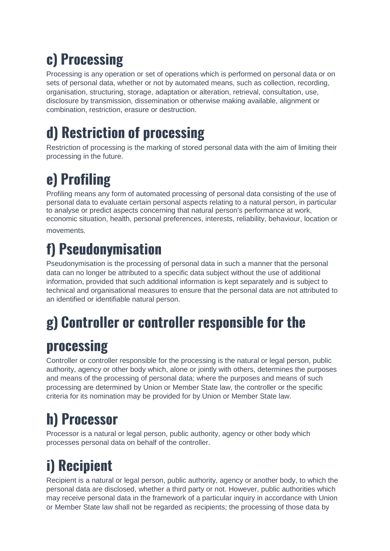### c) Processing

Processing is any operation or set of operations which is performed on personal data or on sets of personal data, whether or not by automated means, such as collection, recording, organisation, structuring, storage, adaptation or alteration, retrieval, consultation, use, disclosure by transmission, dissemination or otherwise making available, alignment or combination, restriction, erasure or destruction.

### d) Restriction of processing

Restriction of processing is the marking of stored personal data with the aim of limiting their processing in the future.

## e) Profiling

Profiling means any form of automated processing of personal data consisting of the use of personal data to evaluate certain personal aspects relating to a natural person, in particular to analyse or predict aspects concerning that natural person's performance at work, economic situation, health, personal preferences, interests, reliability, behaviour, location or

movements

### f) Pseudonymisation

Pseudonymisation is the processing of personal data in such a manner that the personal data can no longer be attributed to a specific data subject without the use of additional information, provided that such additional information is kept separately and is subject to technical and organisational measures to ensure that the personal data are not attributed to an identified or identifiable natural person.

### g) Controller or controller responsible for the

### processing

Controller or controller responsible for the processing is the natural or legal person, public authority, agency or other body which, alone or jointly with others, determines the purposes and means of the processing of personal data; where the purposes and means of such processing are determined by Union or Member State law, the controller or the specific criteria for its nomination may be provided for by Union or Member State law.

## h) Processor

Processor is a natural or legal person, public authority, agency or other body which processes personal data on behalf of the controller.

## i) Recipient

Recipient is a natural or legal person, public authority, agency or another body, to which the personal data are disclosed, whether a third party or not. However, public authorities which may receive personal data in the framework of a particular inquiry in accordance with Union or Member State law shall not be regarded as recipients; the processing of those data by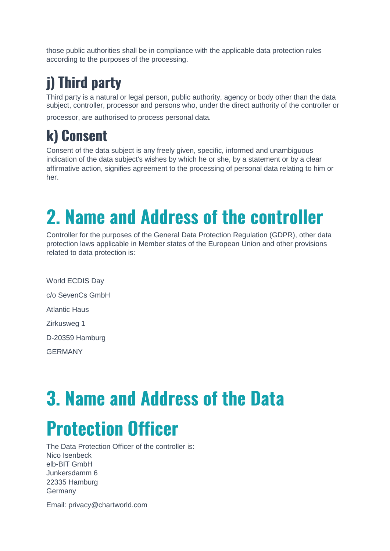those public authorities shall be in compliance with the applicable data protection rules according to the purposes of the processing.

### j) Third party

Third party is a natural or legal person, public authority, agency or body other than the data subject, controller, processor and persons who, under the direct authority of the controller or

processor, are authorised to process personal data

### k) Consent

Consent of the data subject is any freely given, specific, informed and unambiguous indication of the data subject's wishes by which he or she, by a statement or by a clear affirmative action, signifies agreement to the processing of personal data relating to him or her.

## 2. Name and Address of the controller

Controller for the purposes of the General Data Protection Regulation (GDPR), other data protection laws applicable in Member states of the European Union and other provisions related to data protection is:

World ECDIS Day c/o SevenCs GmbH Atlantic Haus Zirkusweg 1 D-20359 Hamburg GERMANY

# **3. Name and Address of the Data Protection Officer**

The Data Protection Officer of the controller is: Nico Isenbeck elb-BIT GmbH Junkersdamm 6 22335 Hamburg Germany

Email: privacy@chartworld.com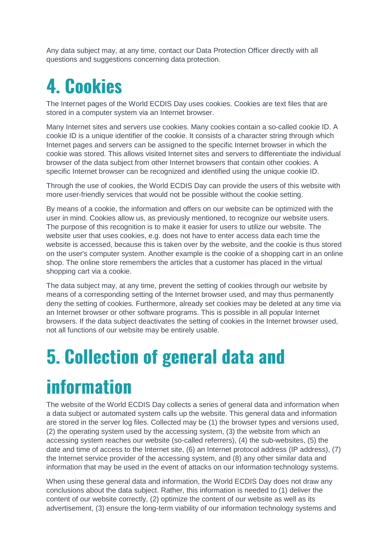Any data subject may, at any time, contact our Data Protection Officer directly with all questions and suggestions concerning data protection.

## **4. Cookies**

The Internet pages of the World ECDIS Day uses cookies. Cookies are text files that are stored in a computer system via an Internet browser.

Many Internet sites and servers use cookies. Many cookies contain a so-called cookie ID. A cookie ID is a unique identifier of the cookie. It consists of a character string through which Internet pages and servers can be assigned to the specific Internet browser in which the cookie was stored. This allows visited Internet sites and servers to differentiate the individual browser of the data subject from other Internet browsers that contain other cookies. A specific Internet browser can be recognized and identified using the unique cookie ID.

Through the use of cookies, the World ECDIS Day can provide the users of this website with more user-friendly services that would not be possible without the cookie setting.

By means of a cookie, the information and offers on our website can be optimized with the user in mind. Cookies allow us, as previously mentioned, to recognize our website users. The purpose of this recognition is to make it easier for users to utilize our website. The website user that uses cookies, e.g. does not have to enter access data each time the website is accessed, because this is taken over by the website, and the cookie is thus stored on the user's computer system. Another example is the cookie of a shopping cart in an online shop. The online store remembers the articles that a customer has placed in the virtual shopping cart via a cookie.

The data subject may, at any time, prevent the setting of cookies through our website by means of a corresponding setting of the Internet browser used, and may thus permanently deny the setting of cookies. Furthermore, already set cookies may be deleted at any time via an Internet browser or other software programs. This is possible in all popular Internet browsers. If the data subject deactivates the setting of cookies in the Internet browser used, not all functions of our website may be entirely usable.

## **5. Collection of general data and**

### **information**

The website of the World ECDIS Day collects a series of general data and information when a data subject or automated system calls up the website. This general data and information are stored in the server log files. Collected may be (1) the browser types and versions used, (2) the operating system used by the accessing system, (3) the website from which an accessing system reaches our website (so-called referrers), (4) the sub-websites, (5) the date and time of access to the Internet site, (6) an Internet protocol address (IP address), (7) the Internet service provider of the accessing system, and (8) any other similar data and information that may be used in the event of attacks on our information technology systems.

When using these general data and information, the World ECDIS Day does not draw any conclusions about the data subject. Rather, this information is needed to (1) deliver the content of our website correctly, (2) optimize the content of our website as well as its advertisement, (3) ensure the long-term viability of our information technology systems and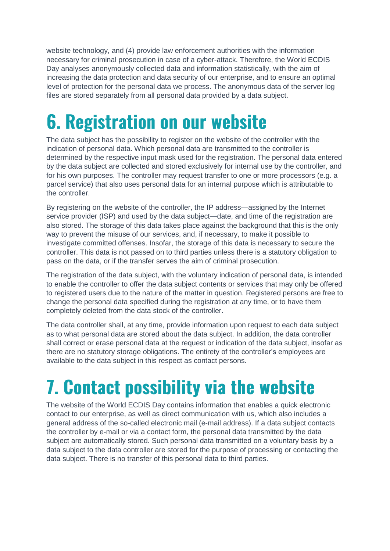website technology, and (4) provide law enforcement authorities with the information necessary for criminal prosecution in case of a cyber-attack. Therefore, the World ECDIS Day analyses anonymously collected data and information statistically, with the aim of increasing the data protection and data security of our enterprise, and to ensure an optimal level of protection for the personal data we process. The anonymous data of the server log files are stored separately from all personal data provided by a data subject.

## **6. Registration on our website**

The data subject has the possibility to register on the website of the controller with the indication of personal data. Which personal data are transmitted to the controller is determined by the respective input mask used for the registration. The personal data entered by the data subject are collected and stored exclusively for internal use by the controller, and for his own purposes. The controller may request transfer to one or more processors (e.g. a parcel service) that also uses personal data for an internal purpose which is attributable to the controller.

By registering on the website of the controller, the IP address—assigned by the Internet service provider (ISP) and used by the data subject—date, and time of the registration are also stored. The storage of this data takes place against the background that this is the only way to prevent the misuse of our services, and, if necessary, to make it possible to investigate committed offenses. Insofar, the storage of this data is necessary to secure the controller. This data is not passed on to third parties unless there is a statutory obligation to pass on the data, or if the transfer serves the aim of criminal prosecution.

The registration of the data subject, with the voluntary indication of personal data, is intended to enable the controller to offer the data subject contents or services that may only be offered to registered users due to the nature of the matter in question. Registered persons are free to change the personal data specified during the registration at any time, or to have them completely deleted from the data stock of the controller.

The data controller shall, at any time, provide information upon request to each data subject as to what personal data are stored about the data subject. In addition, the data controller shall correct or erase personal data at the request or indication of the data subject, insofar as there are no statutory storage obligations. The entirety of the controller's employees are available to the data subject in this respect as contact persons.

## 7. Contact possibility via the website

The website of the World ECDIS Day contains information that enables a quick electronic contact to our enterprise, as well as direct communication with us, which also includes a general address of the so-called electronic mail (e-mail address). If a data subject contacts the controller by e-mail or via a contact form, the personal data transmitted by the data subject are automatically stored. Such personal data transmitted on a voluntary basis by a data subject to the data controller are stored for the purpose of processing or contacting the data subject. There is no transfer of this personal data to third parties.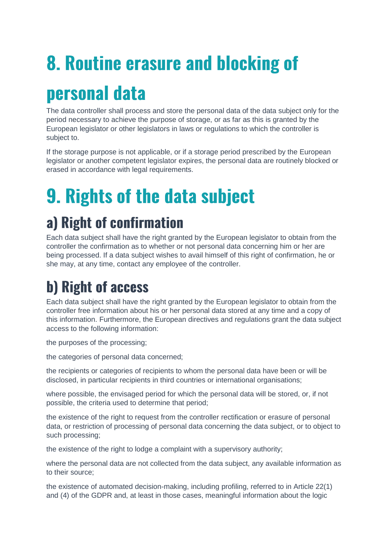# **8. Routine erasure and blocking of**

## personal data

The data controller shall process and store the personal data of the data subject only for the period necessary to achieve the purpose of storage, or as far as this is granted by the European legislator or other legislators in laws or regulations to which the controller is subject to.

If the storage purpose is not applicable, or if a storage period prescribed by the European legislator or another competent legislator expires, the personal data are routinely blocked or erased in accordance with legal requirements.

## **9. Rights of the data subject**

### a) Right of confirmation

Each data subject shall have the right granted by the European legislator to obtain from the controller the confirmation as to whether or not personal data concerning him or her are being processed. If a data subject wishes to avail himself of this right of confirmation, he or she may, at any time, contact any employee of the controller.

### **b) Right of access**

Each data subject shall have the right granted by the European legislator to obtain from the controller free information about his or her personal data stored at any time and a copy of this information. Furthermore, the European directives and regulations grant the data subject access to the following information:

the purposes of the processing;

the categories of personal data concerned;

the recipients or categories of recipients to whom the personal data have been or will be disclosed, in particular recipients in third countries or international organisations;

where possible, the envisaged period for which the personal data will be stored, or, if not possible, the criteria used to determine that period;

the existence of the right to request from the controller rectification or erasure of personal data, or restriction of processing of personal data concerning the data subject, or to object to such processing;

the existence of the right to lodge a complaint with a supervisory authority;

where the personal data are not collected from the data subject, any available information as to their source;

the existence of automated decision-making, including profiling, referred to in Article 22(1) and (4) of the GDPR and, at least in those cases, meaningful information about the logic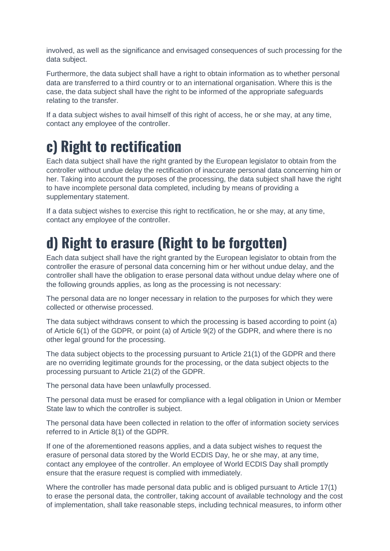involved, as well as the significance and envisaged consequences of such processing for the data subject.

Furthermore, the data subject shall have a right to obtain information as to whether personal data are transferred to a third country or to an international organisation. Where this is the case, the data subject shall have the right to be informed of the appropriate safeguards relating to the transfer.

If a data subject wishes to avail himself of this right of access, he or she may, at any time, contact any employee of the controller.

#### c) Right to rectification

Each data subject shall have the right granted by the European legislator to obtain from the controller without undue delay the rectification of inaccurate personal data concerning him or her. Taking into account the purposes of the processing, the data subject shall have the right to have incomplete personal data completed, including by means of providing a supplementary statement.

If a data subject wishes to exercise this right to rectification, he or she may, at any time, contact any employee of the controller.

### d) Right to erasure (Right to be forgotten)

Each data subject shall have the right granted by the European legislator to obtain from the controller the erasure of personal data concerning him or her without undue delay, and the controller shall have the obligation to erase personal data without undue delay where one of the following grounds applies, as long as the processing is not necessary:

The personal data are no longer necessary in relation to the purposes for which they were collected or otherwise processed.

The data subject withdraws consent to which the processing is based according to point (a) of Article 6(1) of the GDPR, or point (a) of Article 9(2) of the GDPR, and where there is no other legal ground for the processing.

The data subject objects to the processing pursuant to Article 21(1) of the GDPR and there are no overriding legitimate grounds for the processing, or the data subject objects to the processing pursuant to Article 21(2) of the GDPR.

The personal data have been unlawfully processed.

The personal data must be erased for compliance with a legal obligation in Union or Member State law to which the controller is subject.

The personal data have been collected in relation to the offer of information society services referred to in Article 8(1) of the GDPR.

If one of the aforementioned reasons applies, and a data subject wishes to request the erasure of personal data stored by the World ECDIS Day, he or she may, at any time, contact any employee of the controller. An employee of World ECDIS Day shall promptly ensure that the erasure request is complied with immediately.

Where the controller has made personal data public and is obliged pursuant to Article 17(1) to erase the personal data, the controller, taking account of available technology and the cost of implementation, shall take reasonable steps, including technical measures, to inform other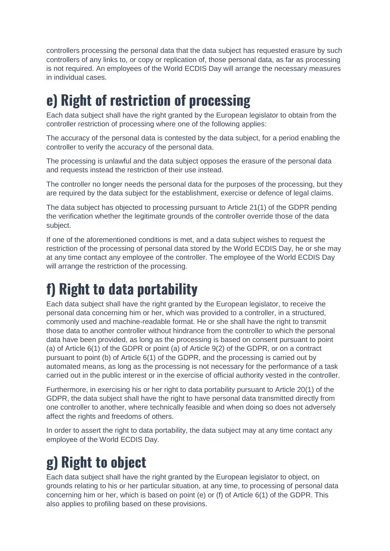controllers processing the personal data that the data subject has requested erasure by such controllers of any links to, or copy or replication of, those personal data, as far as processing is not required. An employees of the World ECDIS Day will arrange the necessary measures in individual cases.

### e) Right of restriction of processing

Each data subject shall have the right granted by the European legislator to obtain from the controller restriction of processing where one of the following applies:

The accuracy of the personal data is contested by the data subject, for a period enabling the controller to verify the accuracy of the personal data.

The processing is unlawful and the data subject opposes the erasure of the personal data and requests instead the restriction of their use instead.

The controller no longer needs the personal data for the purposes of the processing, but they are required by the data subject for the establishment, exercise or defence of legal claims.

The data subject has objected to processing pursuant to Article 21(1) of the GDPR pending the verification whether the legitimate grounds of the controller override those of the data subject.

If one of the aforementioned conditions is met, and a data subject wishes to request the restriction of the processing of personal data stored by the World ECDIS Day, he or she may at any time contact any employee of the controller. The employee of the World ECDIS Day will arrange the restriction of the processing.

### f) Right to data portability

Each data subject shall have the right granted by the European legislator, to receive the personal data concerning him or her, which was provided to a controller, in a structured, commonly used and machine-readable format. He or she shall have the right to transmit those data to another controller without hindrance from the controller to which the personal data have been provided, as long as the processing is based on consent pursuant to point (a) of Article 6(1) of the GDPR or point (a) of Article 9(2) of the GDPR, or on a contract pursuant to point (b) of Article 6(1) of the GDPR, and the processing is carried out by automated means, as long as the processing is not necessary for the performance of a task carried out in the public interest or in the exercise of official authority vested in the controller.

Furthermore, in exercising his or her right to data portability pursuant to Article 20(1) of the GDPR, the data subject shall have the right to have personal data transmitted directly from one controller to another, where technically feasible and when doing so does not adversely affect the rights and freedoms of others.

In order to assert the right to data portability, the data subject may at any time contact any employee of the World ECDIS Day.

### g) Right to object

Each data subject shall have the right granted by the European legislator to object, on grounds relating to his or her particular situation, at any time, to processing of personal data concerning him or her, which is based on point (e) or (f) of Article 6(1) of the GDPR. This also applies to profiling based on these provisions.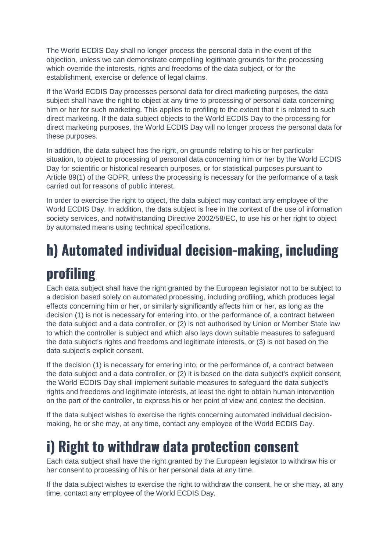The World ECDIS Day shall no longer process the personal data in the event of the objection, unless we can demonstrate compelling legitimate grounds for the processing which override the interests, rights and freedoms of the data subject, or for the establishment, exercise or defence of legal claims.

If the World ECDIS Day processes personal data for direct marketing purposes, the data subject shall have the right to object at any time to processing of personal data concerning him or her for such marketing. This applies to profiling to the extent that it is related to such direct marketing. If the data subject objects to the World ECDIS Day to the processing for direct marketing purposes, the World ECDIS Day will no longer process the personal data for these purposes.

In addition, the data subject has the right, on grounds relating to his or her particular situation, to object to processing of personal data concerning him or her by the World ECDIS Day for scientific or historical research purposes, or for statistical purposes pursuant to Article 89(1) of the GDPR, unless the processing is necessary for the performance of a task carried out for reasons of public interest.

In order to exercise the right to object, the data subject may contact any employee of the World ECDIS Day. In addition, the data subject is free in the context of the use of information society services, and notwithstanding Directive 2002/58/EC, to use his or her right to object by automated means using technical specifications.

## h) Automated individual decision-making, including profiling

Each data subject shall have the right granted by the European legislator not to be subject to a decision based solely on automated processing, including profiling, which produces legal effects concerning him or her, or similarly significantly affects him or her, as long as the decision (1) is not is necessary for entering into, or the performance of, a contract between the data subject and a data controller, or (2) is not authorised by Union or Member State law to which the controller is subject and which also lays down suitable measures to safeguard the data subject's rights and freedoms and legitimate interests, or (3) is not based on the data subject's explicit consent.

If the decision (1) is necessary for entering into, or the performance of, a contract between the data subject and a data controller, or (2) it is based on the data subject's explicit consent, the World ECDIS Day shall implement suitable measures to safeguard the data subject's rights and freedoms and legitimate interests, at least the right to obtain human intervention on the part of the controller, to express his or her point of view and contest the decision.

If the data subject wishes to exercise the rights concerning automated individual decisionmaking, he or she may, at any time, contact any employee of the World ECDIS Day.

### i) Right to withdraw data protection consent

Each data subject shall have the right granted by the European legislator to withdraw his or her consent to processing of his or her personal data at any time.

If the data subject wishes to exercise the right to withdraw the consent, he or she may, at any time, contact any employee of the World ECDIS Day.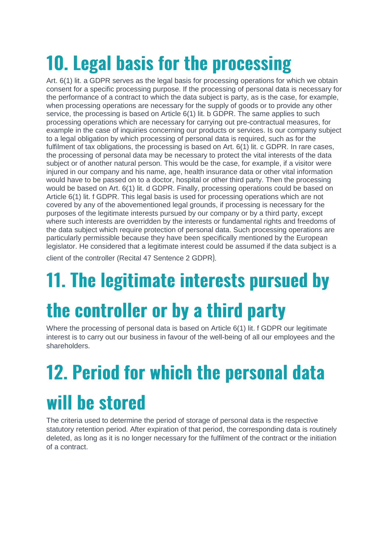## 10. Legal basis for the processing

Art. 6(1) lit. a GDPR serves as the legal basis for processing operations for which we obtain consent for a specific processing purpose. If the processing of personal data is necessary for the performance of a contract to which the data subject is party, as is the case, for example, when processing operations are necessary for the supply of goods or to provide any other service, the processing is based on Article 6(1) lit. b GDPR. The same applies to such processing operations which are necessary for carrying out pre-contractual measures, for example in the case of inquiries concerning our products or services. Is our company subject to a legal obligation by which processing of personal data is required, such as for the fulfilment of tax obligations, the processing is based on Art. 6(1) lit. c GDPR. In rare cases, the processing of personal data may be necessary to protect the vital interests of the data subject or of another natural person. This would be the case, for example, if a visitor were injured in our company and his name, age, health insurance data or other vital information would have to be passed on to a doctor, hospital or other third party. Then the processing would be based on Art. 6(1) lit. d GDPR. Finally, processing operations could be based on Article 6(1) lit. f GDPR. This legal basis is used for processing operations which are not covered by any of the abovementioned legal grounds, if processing is necessary for the purposes of the legitimate interests pursued by our company or by a third party, except where such interests are overridden by the interests or fundamental rights and freedoms of the data subject which require protection of personal data. Such processing operations are particularly permissible because they have been specifically mentioned by the European legislator. He considered that a legitimate interest could be assumed if the data subject is a

client of the controller (Recital 47 Sentence 2 GDPR

## 11. The legitimate interests pursued by

## the controller or by a third party

Where the processing of personal data is based on Article 6(1) lit. f GDPR our legitimate interest is to carry out our business in favour of the well-being of all our employees and the shareholders.

## 12. Period for which the personal data will be stored

The criteria used to determine the period of storage of personal data is the respective statutory retention period. After expiration of that period, the corresponding data is routinely deleted, as long as it is no longer necessary for the fulfilment of the contract or the initiation of a contract.